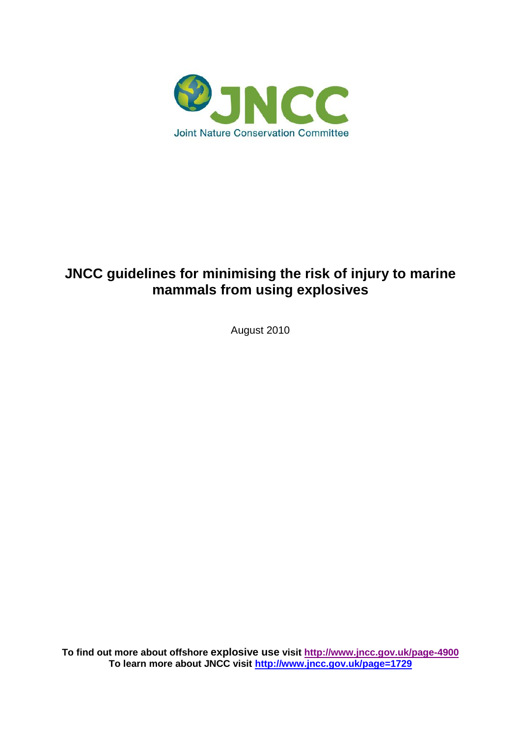

# **JNCC guidelines for minimising the risk of injury to marine mammals from using explosives**

August 2010

**To find out more about offshore explosive use visit<http://www.jncc.gov.uk/page-4900> To learn more about JNCC visit<http://www.jncc.gov.uk/page=1729>**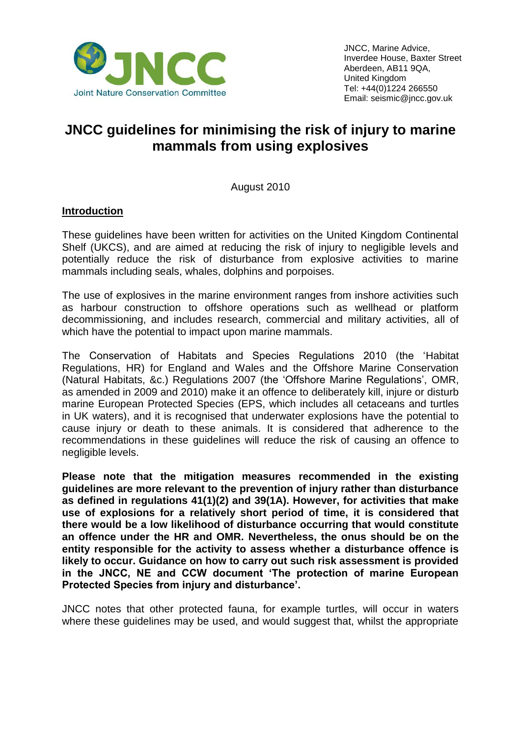

## **JNCC guidelines for minimising the risk of injury to marine mammals from using explosives**

August 2010

#### **Introduction**

These guidelines have been written for activities on the United Kingdom Continental Shelf (UKCS), and are aimed at reducing the risk of injury to negligible levels and potentially reduce the risk of disturbance from explosive activities to marine mammals including seals, whales, dolphins and porpoises.

The use of explosives in the marine environment ranges from inshore activities such as harbour construction to offshore operations such as wellhead or platform decommissioning, and includes research, commercial and military activities, all of which have the potential to impact upon marine mammals.

The Conservation of Habitats and Species Regulations 2010 (the "Habitat Regulations, HR) for England and Wales and the Offshore Marine Conservation (Natural Habitats, &c.) Regulations 2007 (the "Offshore Marine Regulations", OMR, as amended in 2009 and 2010) make it an offence to deliberately kill, injure or disturb marine European Protected Species (EPS, which includes all cetaceans and turtles in UK waters), and it is recognised that underwater explosions have the potential to cause injury or death to these animals. It is considered that adherence to the recommendations in these guidelines will reduce the risk of causing an offence to negligible levels.

**Please note that the mitigation measures recommended in the existing guidelines are more relevant to the prevention of injury rather than disturbance as defined in regulations 41(1)(2) and 39(1A). However, for activities that make use of explosions for a relatively short period of time, it is considered that there would be a low likelihood of disturbance occurring that would constitute an offence under the HR and OMR. Nevertheless, the onus should be on the entity responsible for the activity to assess whether a disturbance offence is likely to occur. Guidance on how to carry out such risk assessment is provided in the JNCC, NE and CCW document 'The protection of marine European Protected Species from injury and disturbance'.**

JNCC notes that other protected fauna, for example turtles, will occur in waters where these guidelines may be used, and would suggest that, whilst the appropriate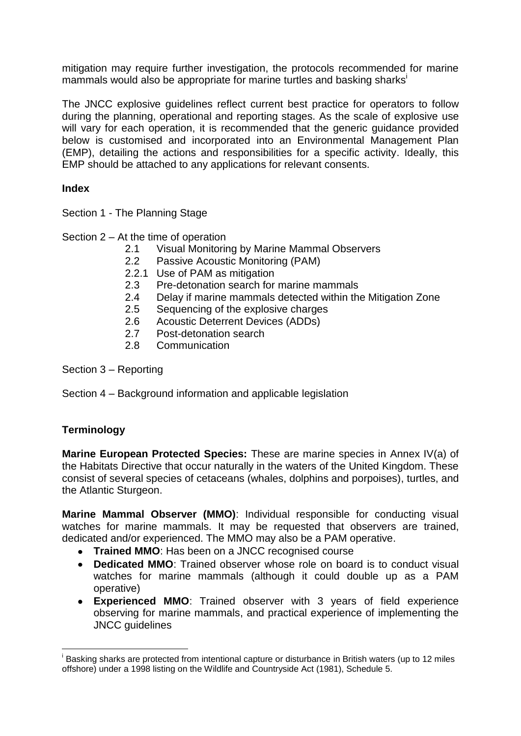mitigation may require further investigation, the protocols recommended for marine mammals would also be appropriate for marine turtles and basking sharks<sup>i</sup>

The JNCC explosive guidelines reflect current best practice for operators to follow during the planning, operational and reporting stages. As the scale of explosive use will vary for each operation, it is recommended that the generic guidance provided below is customised and incorporated into an Environmental Management Plan (EMP), detailing the actions and responsibilities for a specific activity. Ideally, this EMP should be attached to any applications for relevant consents.

## **Index**

Section 1 - The Planning Stage

Section 2 – At the time of operation

- 2.1 Visual Monitoring by Marine Mammal Observers
- 2.2 Passive Acoustic Monitoring (PAM)
- 2.2.1 Use of PAM as mitigation
- 2.3 Pre-detonation search for marine mammals
- 2.4 Delay if marine mammals detected within the Mitigation Zone
- 2.5 Sequencing of the explosive charges
- 2.6 Acoustic Deterrent Devices (ADDs)
- 2.7 Post-detonation search
- 2.8 Communication

Section 3 – Reporting

Section 4 – Background information and applicable legislation

## **Terminology**

 $\overline{a}$ 

**Marine European Protected Species:** These are marine species in Annex IV(a) of the Habitats Directive that occur naturally in the waters of the United Kingdom. These consist of several species of cetaceans (whales, dolphins and porpoises), turtles, and the Atlantic Sturgeon.

**Marine Mammal Observer (MMO)**: Individual responsible for conducting visual watches for marine mammals. It may be requested that observers are trained, dedicated and/or experienced. The MMO may also be a PAM operative.

- **Trained MMO:** Has been on a JNCC recognised course
- **Dedicated MMO**: Trained observer whose role on board is to conduct visual watches for marine mammals (although it could double up as a PAM operative)
- **Experienced MMO**: Trained observer with 3 years of field experience observing for marine mammals, and practical experience of implementing the JNCC guidelines

i Basking sharks are protected from intentional capture or disturbance in British waters (up to 12 miles offshore) under a 1998 listing on the Wildlife and Countryside Act (1981), Schedule 5.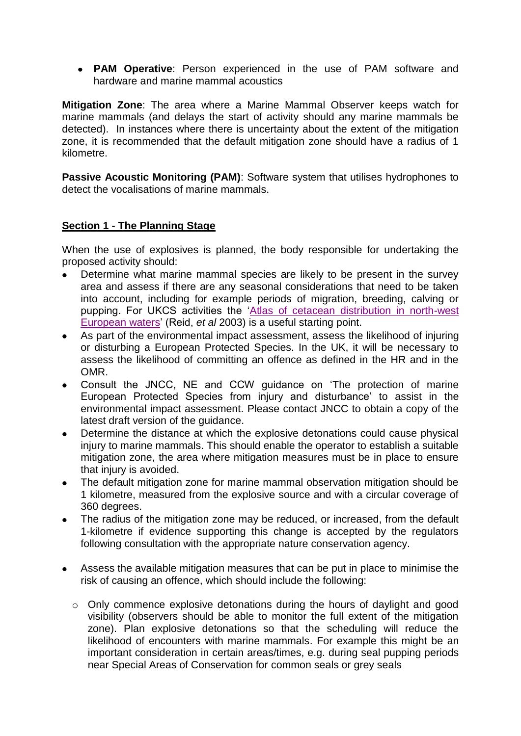**PAM Operative**: Person experienced in the use of PAM software and hardware and marine mammal acoustics

**Mitigation Zone**: The area where a Marine Mammal Observer keeps watch for marine mammals (and delays the start of activity should any marine mammals be detected). In instances where there is uncertainty about the extent of the mitigation zone, it is recommended that the default mitigation zone should have a radius of 1 kilometre.

**Passive Acoustic Monitoring (PAM):** Software system that utilises hydrophones to detect the vocalisations of marine mammals.

## **Section 1 - The Planning Stage**

When the use of explosives is planned, the body responsible for undertaking the proposed activity should:

- Determine what marine mammal species are likely to be present in the survey area and assess if there are any seasonal considerations that need to be taken into account, including for example periods of migration, breeding, calving or pupping. For UKCS activities the ["Atlas of cetacean distribution in north-west](http://www.jncc.gov.uk/page-2713)  [European waters"](http://www.jncc.gov.uk/page-2713) (Reid, *et al* 2003) is a useful starting point.
- As part of the environmental impact assessment, assess the likelihood of injuring or disturbing a European Protected Species. In the UK, it will be necessary to assess the likelihood of committing an offence as defined in the HR and in the OMR.
- Consult the JNCC, NE and CCW guidance on "The protection of marine European Protected Species from injury and disturbance" to assist in the environmental impact assessment. Please contact JNCC to obtain a copy of the latest draft version of the guidance.
- Determine the distance at which the explosive detonations could cause physical  $\bullet$ injury to marine mammals. This should enable the operator to establish a suitable mitigation zone, the area where mitigation measures must be in place to ensure that injury is avoided.
- The default mitigation zone for marine mammal observation mitigation should be 1 kilometre, measured from the explosive source and with a circular coverage of 360 degrees.
- The radius of the mitigation zone may be reduced, or increased, from the default 1-kilometre if evidence supporting this change is accepted by the regulators following consultation with the appropriate nature conservation agency.
- Assess the available mitigation measures that can be put in place to minimise the risk of causing an offence, which should include the following:
	- o Only commence explosive detonations during the hours of daylight and good visibility (observers should be able to monitor the full extent of the mitigation zone). Plan explosive detonations so that the scheduling will reduce the likelihood of encounters with marine mammals. For example this might be an important consideration in certain areas/times, e.g. during seal pupping periods near Special Areas of Conservation for common seals or grey seals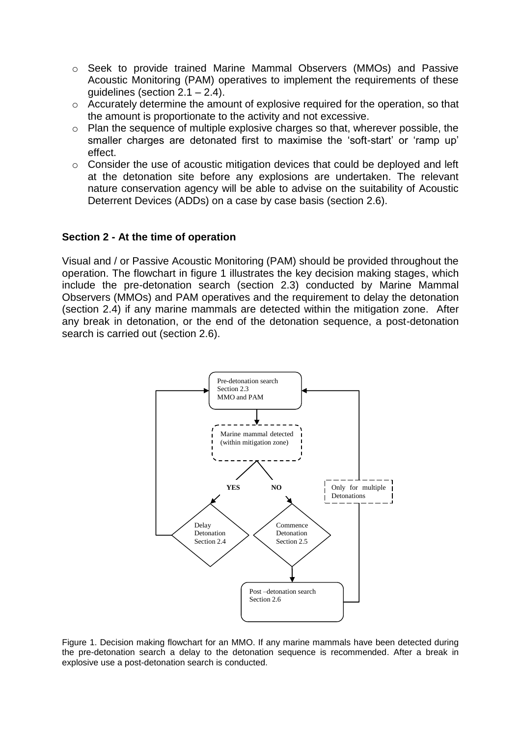- o Seek to provide trained Marine Mammal Observers (MMOs) and Passive Acoustic Monitoring (PAM) operatives to implement the requirements of these guidelines (section 2.1 – 2.4).
- o Accurately determine the amount of explosive required for the operation, so that the amount is proportionate to the activity and not excessive.
- o Plan the sequence of multiple explosive charges so that, wherever possible, the smaller charges are detonated first to maximise the 'soft-start' or 'ramp up' effect.
- o Consider the use of acoustic mitigation devices that could be deployed and left at the detonation site before any explosions are undertaken. The relevant nature conservation agency will be able to advise on the suitability of Acoustic Deterrent Devices (ADDs) on a case by case basis (section 2.6).

#### **Section 2 - At the time of operation**

Visual and / or Passive Acoustic Monitoring (PAM) should be provided throughout the operation. The flowchart in figure 1 illustrates the key decision making stages, which include the pre-detonation search (section 2.3) conducted by Marine Mammal Observers (MMOs) and PAM operatives and the requirement to delay the detonation (section 2.4) if any marine mammals are detected within the mitigation zone. After any break in detonation, or the end of the detonation sequence, a post-detonation search is carried out (section 2.6).



Figure 1. Decision making flowchart for an MMO. If any marine mammals have been detected during the pre-detonation search a delay to the detonation sequence is recommended. After a break in explosive use a post-detonation search is conducted.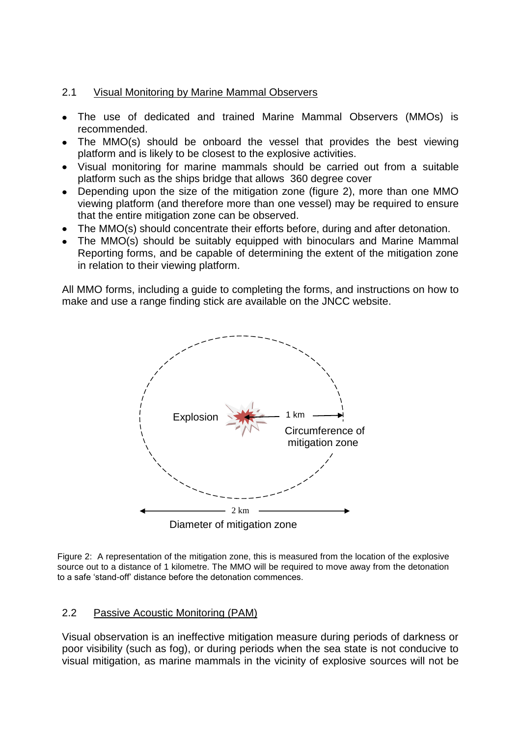## 2.1 Visual Monitoring by Marine Mammal Observers

- The use of dedicated and trained Marine Mammal Observers (MMOs) is recommended.
- The MMO(s) should be onboard the vessel that provides the best viewing platform and is likely to be closest to the explosive activities.
- Visual monitoring for marine mammals should be carried out from a suitable platform such as the ships bridge that allows 360 degree cover
- Depending upon the size of the mitigation zone (figure 2), more than one MMO viewing platform (and therefore more than one vessel) may be required to ensure that the entire mitigation zone can be observed.
- The MMO(s) should concentrate their efforts before, during and after detonation.
- The MMO(s) should be suitably equipped with binoculars and Marine Mammal Reporting forms, and be capable of determining the extent of the mitigation zone in relation to their viewing platform.

All MMO forms, including a guide to completing the forms, and instructions on how to make and use a range finding stick are available on the JNCC website.



Figure 2: A representation of the mitigation zone, this is measured from the location of the explosive source out to a distance of 1 kilometre. The MMO will be required to move away from the detonation to a safe "stand-off" distance before the detonation commences.

## 2.2 Passive Acoustic Monitoring (PAM)

Visual observation is an ineffective mitigation measure during periods of darkness or poor visibility (such as fog), or during periods when the sea state is not conducive to visual mitigation, as marine mammals in the vicinity of explosive sources will not be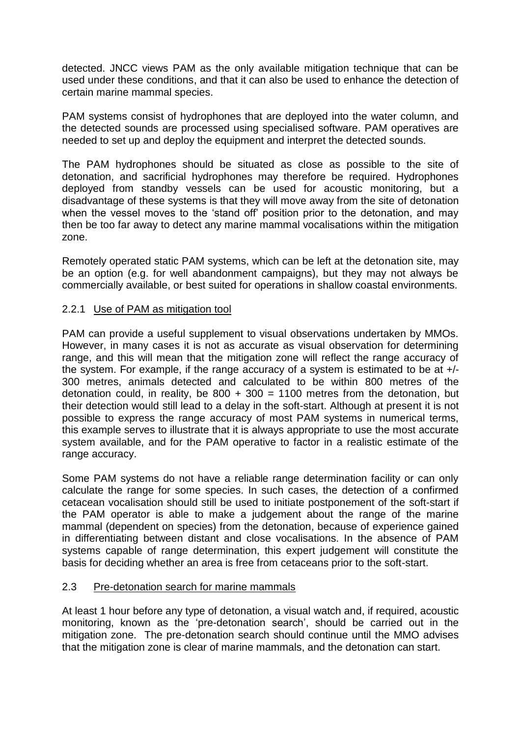detected. JNCC views PAM as the only available mitigation technique that can be used under these conditions, and that it can also be used to enhance the detection of certain marine mammal species.

PAM systems consist of hydrophones that are deployed into the water column, and the detected sounds are processed using specialised software. PAM operatives are needed to set up and deploy the equipment and interpret the detected sounds.

The PAM hydrophones should be situated as close as possible to the site of detonation, and sacrificial hydrophones may therefore be required. Hydrophones deployed from standby vessels can be used for acoustic monitoring, but a disadvantage of these systems is that they will move away from the site of detonation when the vessel moves to the 'stand off' position prior to the detonation, and may then be too far away to detect any marine mammal vocalisations within the mitigation zone.

Remotely operated static PAM systems, which can be left at the detonation site, may be an option (e.g. for well abandonment campaigns), but they may not always be commercially available, or best suited for operations in shallow coastal environments.

## 2.2.1 Use of PAM as mitigation tool

PAM can provide a useful supplement to visual observations undertaken by MMOs. However, in many cases it is not as accurate as visual observation for determining range, and this will mean that the mitigation zone will reflect the range accuracy of the system. For example, if the range accuracy of a system is estimated to be at +/- 300 metres, animals detected and calculated to be within 800 metres of the detonation could, in reality, be  $800 + 300 = 1100$  metres from the detonation, but their detection would still lead to a delay in the soft-start. Although at present it is not possible to express the range accuracy of most PAM systems in numerical terms, this example serves to illustrate that it is always appropriate to use the most accurate system available, and for the PAM operative to factor in a realistic estimate of the range accuracy.

Some PAM systems do not have a reliable range determination facility or can only calculate the range for some species. In such cases, the detection of a confirmed cetacean vocalisation should still be used to initiate postponement of the soft-start if the PAM operator is able to make a judgement about the range of the marine mammal (dependent on species) from the detonation, because of experience gained in differentiating between distant and close vocalisations. In the absence of PAM systems capable of range determination, this expert judgement will constitute the basis for deciding whether an area is free from cetaceans prior to the soft-start.

#### 2.3 Pre-detonation search for marine mammals

At least 1 hour before any type of detonation, a visual watch and, if required, acoustic monitoring, known as the "pre-detonation search", should be carried out in the mitigation zone. The pre-detonation search should continue until the MMO advises that the mitigation zone is clear of marine mammals, and the detonation can start.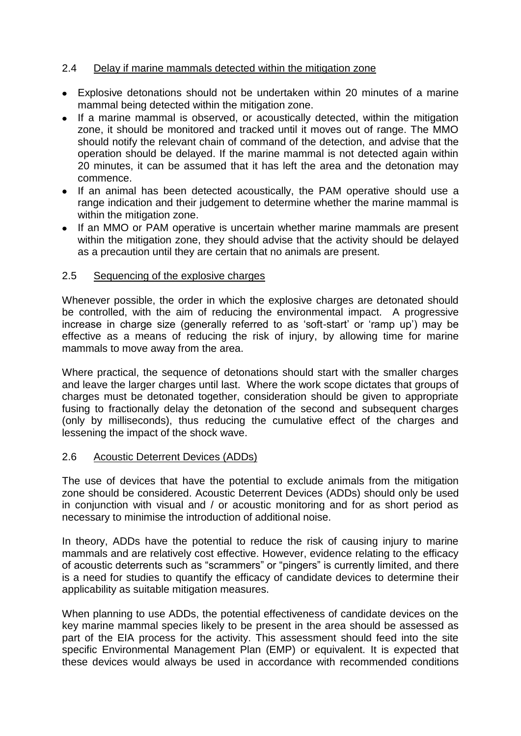## 2.4 Delay if marine mammals detected within the mitigation zone

- Explosive detonations should not be undertaken within 20 minutes of a marine mammal being detected within the mitigation zone.
- If a marine mammal is observed, or acoustically detected, within the mitigation zone, it should be monitored and tracked until it moves out of range. The MMO should notify the relevant chain of command of the detection, and advise that the operation should be delayed. If the marine mammal is not detected again within 20 minutes, it can be assumed that it has left the area and the detonation may commence.
- If an animal has been detected acoustically, the PAM operative should use a range indication and their judgement to determine whether the marine mammal is within the mitigation zone.
- If an MMO or PAM operative is uncertain whether marine mammals are present within the mitigation zone, they should advise that the activity should be delayed as a precaution until they are certain that no animals are present.

#### 2.5 Sequencing of the explosive charges

Whenever possible, the order in which the explosive charges are detonated should be controlled, with the aim of reducing the environmental impact. A progressive increase in charge size (generally referred to as 'soft-start' or 'ramp up') may be effective as a means of reducing the risk of injury, by allowing time for marine mammals to move away from the area.

Where practical, the sequence of detonations should start with the smaller charges and leave the larger charges until last. Where the work scope dictates that groups of charges must be detonated together, consideration should be given to appropriate fusing to fractionally delay the detonation of the second and subsequent charges (only by milliseconds), thus reducing the cumulative effect of the charges and lessening the impact of the shock wave.

#### 2.6 Acoustic Deterrent Devices (ADDs)

The use of devices that have the potential to exclude animals from the mitigation zone should be considered. Acoustic Deterrent Devices (ADDs) should only be used in conjunction with visual and / or acoustic monitoring and for as short period as necessary to minimise the introduction of additional noise.

In theory, ADDs have the potential to reduce the risk of causing injury to marine mammals and are relatively cost effective. However, evidence relating to the efficacy of acoustic deterrents such as "scrammers" or "pingers" is currently limited, and there is a need for studies to quantify the efficacy of candidate devices to determine their applicability as suitable mitigation measures.

When planning to use ADDs, the potential effectiveness of candidate devices on the key marine mammal species likely to be present in the area should be assessed as part of the EIA process for the activity. This assessment should feed into the site specific Environmental Management Plan (EMP) or equivalent. It is expected that these devices would always be used in accordance with recommended conditions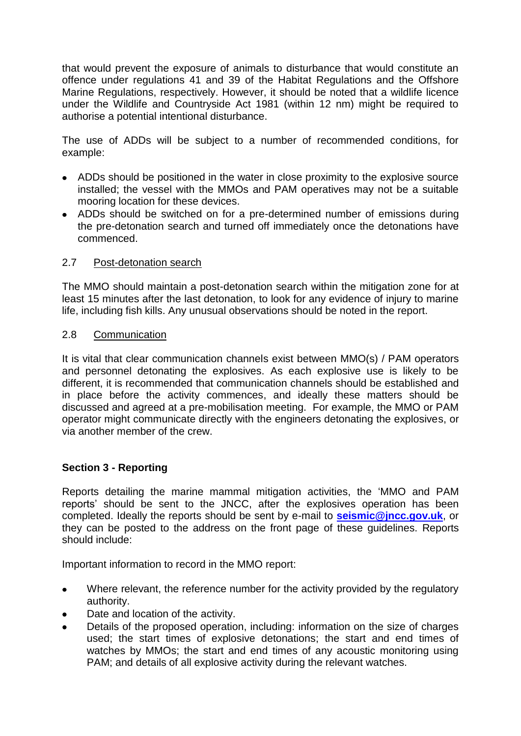that would prevent the exposure of animals to disturbance that would constitute an offence under regulations 41 and 39 of the Habitat Regulations and the Offshore Marine Regulations, respectively. However, it should be noted that a wildlife licence under the Wildlife and Countryside Act 1981 (within 12 nm) might be required to authorise a potential intentional disturbance.

The use of ADDs will be subject to a number of recommended conditions, for example:

- ADDs should be positioned in the water in close proximity to the explosive source installed; the vessel with the MMOs and PAM operatives may not be a suitable mooring location for these devices.
- ADDs should be switched on for a pre-determined number of emissions during the pre-detonation search and turned off immediately once the detonations have commenced.

## 2.7 Post-detonation search

The MMO should maintain a post-detonation search within the mitigation zone for at least 15 minutes after the last detonation, to look for any evidence of injury to marine life, including fish kills. Any unusual observations should be noted in the report.

#### 2.8 Communication

It is vital that clear communication channels exist between MMO(s) / PAM operators and personnel detonating the explosives. As each explosive use is likely to be different, it is recommended that communication channels should be established and in place before the activity commences, and ideally these matters should be discussed and agreed at a pre-mobilisation meeting. For example, the MMO or PAM operator might communicate directly with the engineers detonating the explosives, or via another member of the crew.

## **Section 3 - Reporting**

Reports detailing the marine mammal mitigation activities, the "MMO and PAM reports" should be sent to the JNCC, after the explosives operation has been completed. Ideally the reports should be sent by e-mail to **[seismic@jncc.gov.uk](mailto:seismic@jncc.gov.uk)**, or they can be posted to the address on the front page of these guidelines. Reports should include:

Important information to record in the MMO report:

- Where relevant, the reference number for the activity provided by the regulatory  $\bullet$ authority.
- Date and location of the activity.
- Details of the proposed operation, including: information on the size of charges used; the start times of explosive detonations; the start and end times of watches by MMOs; the start and end times of any acoustic monitoring using PAM; and details of all explosive activity during the relevant watches.